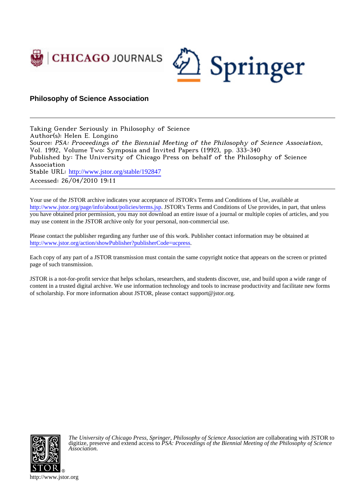



## **Philosophy of Science Association**

Taking Gender Seriously in Philosophy of Science Author(s): Helen E. Longino Source: PSA: Proceedings of the Biennial Meeting of the Philosophy of Science Association, Vol. 1992, Volume Two: Symposia and Invited Papers (1992), pp. 333-340 Published by: The University of Chicago Press on behalf of the Philosophy of Science Association Stable URL: [http://www.jstor.org/stable/192847](http://www.jstor.org/stable/192847?origin=JSTOR-pdf) Accessed: 26/04/2010 19:11

Your use of the JSTOR archive indicates your acceptance of JSTOR's Terms and Conditions of Use, available at <http://www.jstor.org/page/info/about/policies/terms.jsp>. JSTOR's Terms and Conditions of Use provides, in part, that unless you have obtained prior permission, you may not download an entire issue of a journal or multiple copies of articles, and you may use content in the JSTOR archive only for your personal, non-commercial use.

Please contact the publisher regarding any further use of this work. Publisher contact information may be obtained at [http://www.jstor.org/action/showPublisher?publisherCode=ucpress.](http://www.jstor.org/action/showPublisher?publisherCode=ucpress)

Each copy of any part of a JSTOR transmission must contain the same copyright notice that appears on the screen or printed page of such transmission.

JSTOR is a not-for-profit service that helps scholars, researchers, and students discover, use, and build upon a wide range of content in a trusted digital archive. We use information technology and tools to increase productivity and facilitate new forms of scholarship. For more information about JSTOR, please contact support@jstor.org.



*The University of Chicago Press*, *Springer*, *Philosophy of Science Association* are collaborating with JSTOR to digitize, preserve and extend access to *PSA: Proceedings of the Biennial Meeting of the Philosophy of Science Association.*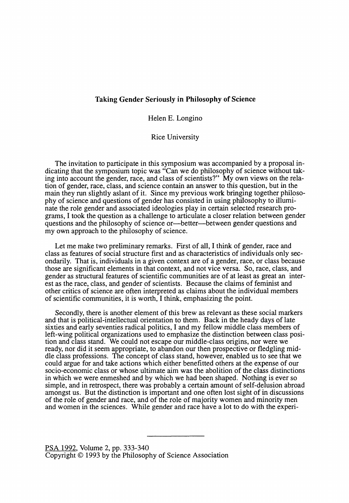## **Taking Gender Seriously in Philosophy of Science**

**Helen E. Longino** 

**Rice University** 

**The invitation to participate in this symposium was accompanied by a proposal in**dicating that the symposium topic was "Can we do philosophy of science without taking into account the gender, race, and class of scientists?" My own views on the rela**tion of gender, race, class, and science contain an answer to this question, but in the main they run slightly aslant of it. Since my previous work bringing together philosophy of science and questions of gender has consisted in using philosophy to illuminate the role gender and associated ideologies play in certain selected research programs, I took the question as a challenge to articulate a closer relation between gender questions and the philosophy of science or-better-between gender questions and my own approach to the philosophy of science.** 

**Let me make two preliminary remarks. First of all, I think of gender, race and class as features of social structure first and as characteristics of individuals only secondarily. That is, individuals in a given context are of a gender, race, or class because those are significant elements in that context, and not vice versa. So, race, class, and gender as structural features of scientific communities are of at least as great an interest as the race, class, and gender of scientists. Because the claims of feminist and other critics of science are often interpreted as claims about the individual members of scientific communities, it is worth, I think, emphasizing the point.** 

**Secondly, there is another element of this brew as relevant as these social markers and that is political-intellectual orientation to them. Back in the heady days of late sixties and early seventies radical politics, I and my fellow middle class members of left-wing political organizations used to emphasize the distinction between class position and class stand. We could not escape our middle-class origins, nor were we ready, nor did it seem appropriate, to abandon our then prospective or fledgling middle class professions. The concept of class stand, however, enabled us to see that we could argue for and take actions which either benefitted others at the expense of our socio-economic class or whose ultimate aim was the abolition of the class distinctions in which we were enmeshed and by which we had been shaped. Nothing is ever so simple, and in retrospect, there was probably a certain amount of self-delusion abroad amongst us. But the distinction is important and one often lost sight of in discussions of the role of gender and race, and of the role of majority women and minority men and women in the sciences. While gender and race have a lot to do with the experi-**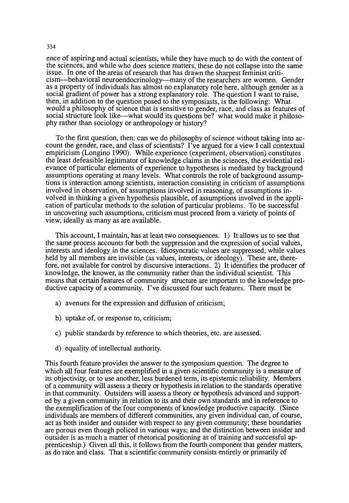**ence of aspiring and actual scientists, while they have much to do with the content of the sciences, and while who does science matters, these do not collapse into the same issue. In one of the areas of research that has drawn the sharpest feminist criticism-behavioral neuroendocrinology-many of the researchers are women. Gender as a property of individuals has almost no explanatory role here, although gender as a social gradient of power has a strong explanatory role. The question I want to raise, then, in addition to the question posed to the symposiasts, is the following: What would a philosophy of science that is sensitive to gender, race, and class as features of social structure look like-what would its questions be? what would make it philosophy rather than sociology or anthropology or history?** 

**To the first question, then: can we do philosophy of science without taking into account the gender, race, and class of scientists? I've argued for a view I call contextual empiricism (Longino 1990). While experience (experiment, observation) constitutes the least defeasible legitimator of knowledge claims in the sciences, the evidential relevance of particular elements of experience to hypotheses is mediated by background assumptions operating at many levels. What controls the role of background assumptions is interaction among scientists, interaction consisting in criticism of assumptions involved in observation, of assumptions involved in reasoning, of assumptions involved in thinking a given hypothesis plausible, of assumptions involved in the application of particular methods to the solution of particular problems. To be successful in uncovering such assumptions, criticism must proceed from a variety of points of view, ideally as many as are available.** 

**This account, I maintain, has at least two consequences. 1) It allows us to see that the same process accounts for both the suppression and the expression of social values, interests and ideology in the sciences. Idiosyncratic values are suppressed, while values held by all members are invisible (as values, interests, or ideology). These are, therefore, not available for control by discursive interactions. 2) It identifies the producer of knowledge, the knower, as the community rather than the individual scientist. This means that certain features of community structure are important to the knowledge productive capacity of a community. I've discussed four such features. There must be** 

- **a) avenues for the expression and diffusion of criticism;**
- **b) uptake of, or response to, criticism;**
- **c) public standards by reference to which theories, etc. are assessed.**
- **d) equality of intellectual authority.**

**This fourth feature provides the answer to the symposium question. The degree to which all four features are exemplified in a given scientific community is a measure of its objectivity, or to use another, less burdened term, its epistemic reliability. Members of a community will assess a theory or hypothesis in relation to the standards operative in that community. Outsiders will assess a theory or hypothesis advanced and supported by a given community in relation to its and their own standards and in reference to the exemplification of the four components of knowledge productive capacity. (Since individuals are members of different communities, any given individual can, of course, act as both insider and outsider with respect to any given community; these boundaries are porous even though policed in various ways; and the distinction between insider and outsider is as much a matter of rhetorical positioning as of training and successful apprenticeship.) Given all this, it follows from the fourth component that gender matters, as do race and class. That a scientific community consists entirely or primarily of** 

**334**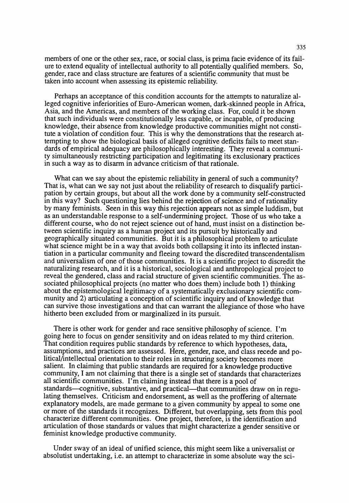**members of one or the other sex, race, or social class, is prima facie evidence of its failure to extend equality of intellectual authority to all potentially qualified members. So, gender, race and class structure are features of a scientific community that must be taken into account when assessing its epistemic reliability.** 

**Perhaps an acceptance of this condition accounts for the attempts to naturalize alleged cognitive inferiorities of Euro-American women, dark-skinned people in Africa, Asia, and the Americas, and members of the working class. For, could it be shown that such individuals were constitutionally less capable, or incapable, of producing knowledge, their absence from knowledge productive communities might not constitute a violation of condition four. This is why the demonstrations that the research attempting to show the biological basis of alleged cognitive deficits fails to meet standards of empirical adequacy are philosophically interesting. They reveal a community simultaneously restricting participation and legitimating its exclusionary practices in such a way as to disarm in advance criticism of that rationale.** 

**What can we say about the epistemic reliability in general of such a community? That is, what can we say not just about the reliability of research to disqualify participation by certain groups, but about all the work done by a community self-constructed in this way? Such questioning lies behind the rejection of science and of rationality by many feminists. Seen in this way this rejection appears not as simple luddism, but as an understandable response to a self-undermining project. Those of us who take a different course, who do not reject science out of hand, must insist on a distinction between scientific inquiry as a human project and its pursuit by historically and geographically situated communities. But it is a philosophical problem to articulate what science might be in a way that avoids both collapsing it into its inflected instantiation in a particular community and fleeing toward the discredited transcendentalism and universalism of one of those communities. It is a scientific project to discredit the naturalizing research, and it is a historical, sociological and anthropological project to reveal the gendered, class and racial structure of given scientific communities. The associated philosophical projects (no matter who does them) include both 1) thinking about the epistemological legitimacy of a systematically exclusionary scientific community and 2) articulating a conception of scientific inquiry and of knowledge that can survive those investigations and that can warrant the allegiance of those who have hitherto been excluded from or marginalized in its pursuit.** 

**There is other work for gender and race sensitive philosophy of science. I'm going here to focus on gender sensitivity and on ideas related to my third criterion. That condition requires public standards by reference to which hypotheses, data, assumptions, and practices are assessed. Here, gender, race, and class recede and politicalfintellectual orientation to their roles in structuring society becomes more salient. In claiming that public standards are required for a knowledge productive community, I am not claiming that there is a single set of standards that characterizes all scientific communities. I'm claiming instead that there is a pool of**  standards—cognitive, substantive, and practical—that communities draw on in regu**lating themselves. Criticism and endorsement, as well as the proffering of alternate explanatory models, are made germane to a given community by appeal to some one or more of the standards it recognizes. Different, but overlapping, sets from this pool characterize different communities. One project, therefore, is the identification and articulation of those standards or values that might characterize a gender sensitive or feminist knowledge productive community.** 

**Under sway of an ideal of unified science, this might seem like a universalist or absolutist undertaking, i.e. an attempt to characterize in some absolute way the sci-**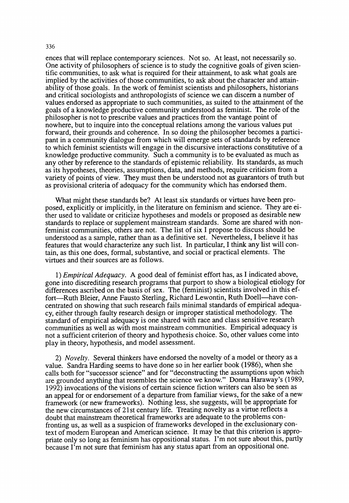**ences that will replace contemporary sciences. Not so. At least, not necessarily so. One activity of philosophers of science is to study the cognitive goals of given scientific communities, to ask what is required for their attainment, to ask what goals are implied by the activities of those communities, to ask about the character and attainability of those goals. In the work of feminist scientists and philosophers, historians and critical sociologists and anthropologists of science we can discern a number of values endorsed as appropriate to such communities, as suited to the attainment of the goals of a knowledge productive community understood as feminist. The role of the philosopher is not to prescribe values and practices from the vantage point of nowhere, but to inquire into the conceptual relations among the various values put forward, their grounds and coherence. In so doing the philosopher becomes a participant in a community dialogue from which will emerge sets of standards by reference to which feminist scientists will engage in the discursive interactions constitutive of a knowledge productive community. Such a community is to be evaluated as much as any other by reference to the standards of epistemic reliability. Its standards, as much as its hypotheses, theories, assumptions, data, and methods, require criticism from a variety of points of view. They must then be understood not as guarantors of truth but as provisional criteria of adequacy for the community which has endorsed them.** 

**What might these standards be? At least six standards or virtues have been proposed, explicitly or implicitly, in the literature on feminism and science. They are either used to validate or criticize hypotheses and models or proposed as desirable new standards to replace or supplement mainstream standards. Some are shared with nonfeminist communities, others are not. The list of six I propose to discuss should be understood as a sample, rather than as a definitive set. Nevertheless, I believe it has features that would characterize any such list. In particular, I think any list will contain, as this one does, formal, substantive, and social or practical elements. The virtues and their sources are as follows.** 

**1) Empirical Adequacy. A good deal of feminist effort has, as I indicated above, gone into discrediting research programs that purport to show a biological etiology for differences ascribed on the basis of sex. The (feminist) scientists involved in this effort-Ruth Bleier, Anne Fausto Sterling, Richard Lewontin, Ruth Doell-have concentrated on showing that such research fails minimal standards of empirical adequacy, either through faulty research design or improper statistical methodology. The standard of empirical adequacy is one shared with race and class sensitive research communities as well as with most mainstream communities. Empirical adequacy is not a sufficient criterion of theory and hypothesis choice. So, other values come into play in theory, hypothesis, and model assessment.** 

**2) Novelty. Several thinkers have endorsed the novelty of a model or theory as a value. Sandra Harding seems to have done so in her earlier book (1986), when she calls both for "successor science" and for "deconstructing the assumptions upon which are grounded anything that resembles the science we know." Donna Haraway's (1989, 1992) invocations of the visions of certain science fiction writers can also be seen as an appeal for or endorsement of a departure from familiar views, for the sake of a new framework (or new frameworks). Nothing less, she suggests, will be appropriate for the new circumstances of 21st century life. Treating novelty as a virtue reflects a doubt that mainstream theoretical frameworks are adequate to the problems confronting us, as well as a suspicion of frameworks developed in the exclusionary context of modem European and American science. It may be that this criterion is appropriate only so long as feminism has oppositional status. I'm not sure about this, partly because I'm not sure that feminism has any status apart from an oppositional one.**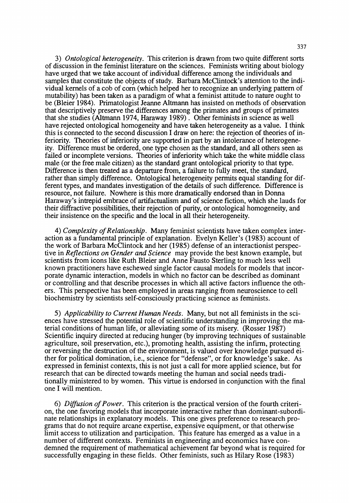**3) Ontological heterogeneity. This criterion is drawn from two quite different sorts of discussion in the feminist literature on the sciences. Feminists writing about biology have urged that we take account of individual difference among the individuals and samples that constitute the objects of study. Barbara McClintock's attention to the individual kernels of a cob of corn (which helped her to recognize an underlying pattern of mutability) has been taken as a paradigm of what a feminist attitude to nature ought to be (Bleier 1984). Primatologist Jeanne Altmann has insisted on methods of observation that descriptively preserve the differences among the primates and groups of primates that she studies (Altmann 1974, Haraway 1989). Other feminists in science as well have rejected ontological homogeneity and have taken heterogeneity as a value. I think this is connected to the second discussion I draw on here: the rejection of theories of inferiority. Theories of inferiority are supported in part by an intolerance of heterogeneity. Difference must be ordered, one type chosen as the standard, and all others seen as failed or incomplete versions. Theories of inferiority which take the white middle class male (or the free male citizen) as the standard grant ontological priority to that type. Difference is then treated as a departure from, a failure to fully meet, the standard, rather than simply difference. Ontological heterogeneity permits equal standing for different types, and mandates investigation of the details of such difference. Difference is resource, not failure. Nowhere is this more dramatically endorsed than in Donna Haraway's intrepid embrace of artifactualism and of science fiction, which she lauds for their diffractive possibilities, their rejection of purity, or ontological homogeneity, and their insistence on the specific and the local in all their heterogeneity.** 

**4) Complexity of Relationship. Many feminist scientists have taken complex interaction as a fundamental principle of explanation. Evelyn Keller's (1983) account of the work of Barbara McClintock and her (1985) defense of an interactionist perspective in Reflections on Gender and Science may provide the best known example, but scientists from icons like Ruth Bleier and Anne Fausto Sterling to much less well known practitioners have eschewed single factor causal models for models that incorporate dynamic interaction, models in which no factor can be described as dominant or controlling and that describe processes in which all active factors influence the others. This perspective has been employed in areas ranging from neuroscience to cell biochemistry by scientists self-consciously practicing science as feminists.** 

**5) Applicability to Current Human Needs. Many, but not all feminists in the sciences have stressed the potential role of scientific understanding in improving the material conditions of human life, or alleviating some of its misery. (Rosser 1987) Scientific inquiry directed at reducing hunger (by improving techniques of sustainable agriculture, soil preservation, etc.), promoting health, assisting the infirm, protecting or reversing the destruction of the environment, is valued over knowledge pursued either for political domination, i.e., science for "defense", or for knowledge's sake. As expressed in feminist contexts, this is not just a call for more applied science, but for research that can be directed towards meeting the human and social needs traditionally ministered to by women. This virtue is endorsed in conjunction with the final one I will mention.** 

**6) Diffusion of Power. This criterion is the practical version of the fourth criterion, the one favoring models that incorporate interactive rather than dominant-subordinate relationships in explanatory models. This one gives preference to research programs that do not require arcane expertise, expensive equipment, or that otherwise limit access to utilization and participation. This feature has emerged as a value in a number of different contexts. Feminists in engineering and economics have condemned the requirement of mathematical achievement far beyond what is required for successfully engaging in these fields. Other feminists, such as Hilary Rose (1983)**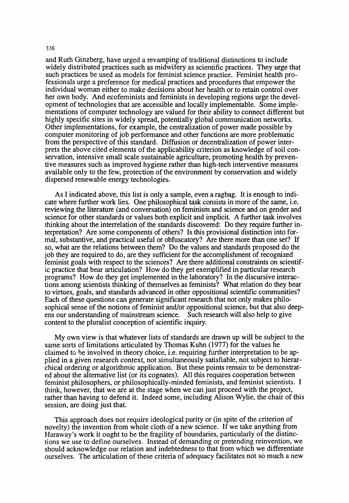**and Ruth Ginzberg, have urged a revamping of traditional distinctions to include widely distributed practices such as midwifery as scientific practices. They urge that such practices be used as models for feminist science practice. Feminist health professionals urge a preference for medical practices and procedures that empower the individual woman either to make decisions about her health or to retain control over her own body. And ecofeminists and feminists in developing regions urge the development of technologies that are accessible and locally implementable. Some implementations of computer technology are valued for their ability to connect different but highly specific sites in widely spread, potentially global communication networks. Other implementations, for example, the centralization of power made possible by computer monitoring of job performance and other functions are more problematic from the perspective of this standard. Diffusion or decentralization of power interprets the above cited elements of the applicability criterion as knowledge of soil conservation, intensive small scale sustainable agriculture, promoting health by preventive measures such as improved hygiene rather than high-tech interventive measures available only to the few, protection of the environment by conservation and widely dispersed renewable energy technologies.** 

**As I indicated above, this list is only a sample, even a ragbag. It is enough to indicate where further work lies. One philosophical task consists in more of the same, i.e. reviewing the literature (and conversation) on feminism and science and on gender and science for other standards or values both explicit and implicit. A further task involves thinking about the interrelation of the standards discovered: Do they require further interpretation? Are some components of others? Is this provisional distinction into formal, substantive, and practical useful or obfuscatory? Are there more than one set? If so, what are the relations between them? Do the values and standards proposed do the job they are required to do, are they sufficient for the accomplishment of recognized feminist goals with respect to the sciences? Are there additional constraints on scientific practice that bear articulation? How do they get exemplified in particular research programs? How do they get implemented in the laboratory? In the discursive interactions among scientists thinking of themselves as feminists? What relation do they bear to virtues, goals, and standards advanced in other oppositional scientific communities? Each of these questions can generate significant research that not only makes philosophical sense of the notions of feminist and/or oppositional science, but that also deepens our understanding of mainstream science. Such research will also help to give content to the pluralist conception of scientific inquiry.** 

**My own view is that whatever lists of standards are drawn up will be subject to the same sorts of limitations articulated by Thomas Kuhn (1977) for the values he claimed to be involved in theory choice, i.e. requiring further interpretation to be applied in a given research context, not simultaneously satisfiable, not subject to hierarchical ordering or algorithmic application. But these points remain to be demonstrated about the alternative list (or its cognates). All this requires cooperation between feminist philosophers, or philosophically-minded feminists, and feminist scientists. I think, however, that we are at the stage when we can just proceed with the project, rather than having to defend it. Indeed some, including Alison Wylie, the chair of this session, are doing just that.** 

**This approach does not require ideological purity or (in spite of the criterion of novelty) the invention from whole cloth of a new science. If we take anything from Haraway's work it ought to be the fragility of boundaries, particularly of the distinctions we use to define ourselves. Instead of demanding or pretending reinvention, we should acknowledge our relation and indebtedness to that from which we differentiate ourselves. The articulation of these criteria of adequacy facilitates not so much a new**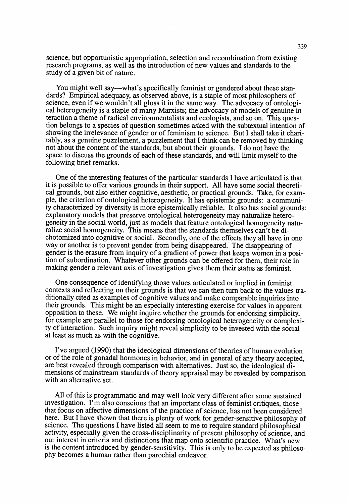**science, but opportunistic appropriation, selection and recombination from existing research programs, as well as the introduction of new values and standards to the study of a given bit of nature.** 

You might well say—what's specifically feminist or gendered about these stan**dards? Empirical adequacy, as observed above, is a staple of most philosophers of science, even if we wouldn't all gloss it in the same way. The advocacy of ontological heterogeneity is a staple of many Marxists; the advocacy of models of genuine interaction a theme of radical environmentalists and ecologists, and so on. This question belongs to a species of question sometimes asked with the subtextual intention of showing the irrelevance of gender or of feminism to science. But I shall take it charitably, as a genuine puzzlement, a puzzlement that I think can be removed by thinking not about the content of the standards, but about their grounds. I do not have the space to discuss the grounds of each of these standards, and will limit myself to the following brief remarks.** 

**One of the interesting features of the particular standards I have articulated is that it is possible to offer various grounds in their support. All have some social theoretical grounds, but also either cognitive, aesthetic, or practical grounds. Take, for example, the criterion of ontological heterogeneity. It has epistemic grounds: a community characterized by diversity is more epistemically reliable. It also has social grounds: explanatory models that preserve ontological heterogeneity may naturalize heterogeneity in the social world, just as models that feature ontological homogeneity naturalize social homogeneity. This means that the standards themselves can't be dichotomized into cognitive or social. Secondly, one of the effects they all have in one way or another is to prevent gender from being disappeared. The disappearing of gender is the erasure from inquiry of a gradient of power that keeps women in a position of subordination. Whatever other grounds can be offered for them, their role in making gender a relevant axis of investigation gives them their status as feminist.** 

**One consequence of identifying those values articulated or implied in feminist contexts and reflecting on their grounds is that we can then turn back to the values traditionally cited as examples of cognitive values and make comparable inquiries into their grounds. This might be an especially interesting exercise for values in apparent opposition to these. We might inquire whether the grounds for endorsing simplicity, for example are parallel to those for endorsing ontological heterogeneity or complexity of interaction. Such inquiry might reveal simplicity to be invested with the social at least as much as with the cognitive.** 

**I've argued (1990) that the ideological dimensions of theories of human evolution or of the role of gonadal hormones in behavior, and in general of any theory accepted, are best revealed through comparison with alternatives. Just so, the ideological dimensions of mainstream standards of theory appraisal may be revealed by comparison with an alternative set.** 

**All of this is programmatic and may well look very different after some sustained investigation. I'm also conscious that an important class of feminist critiques, those that focus on affective dimensions of the practice of science, has not been considered here. But I have shown that there is plenty of work for gender-sensitive philosophy of science. The questions I have listed all seem to me to require standard philosophical activity, especially given the cross-disciplinarity of present philosophy of science, and our interest in criteria and distinctions that map onto scientific practice. What's new is the content introduced by gender-sensitivity. This is only to be expected as philosophy becomes a human rather than parochial endeavor.**